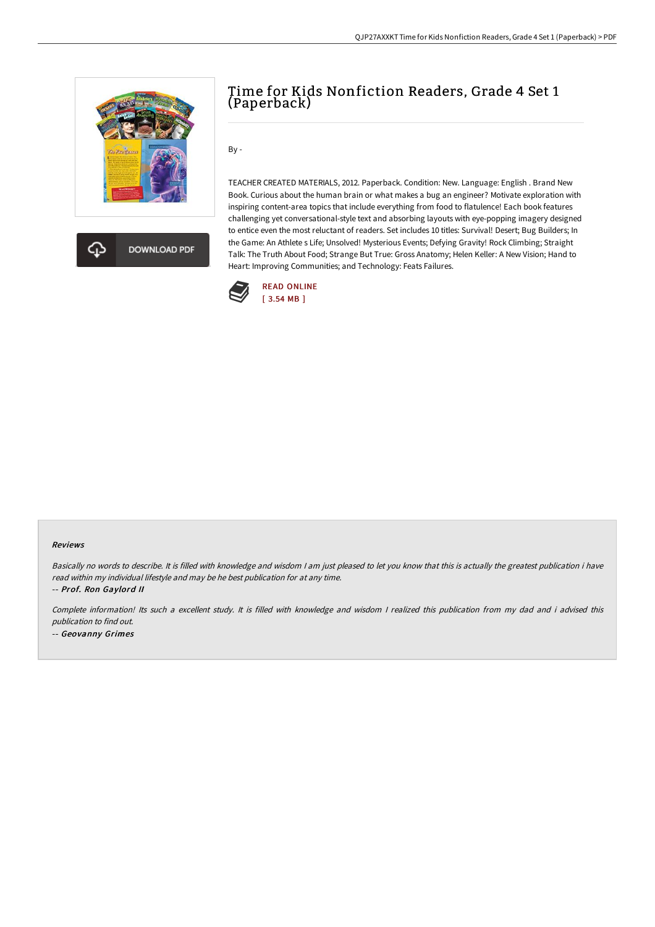

**DOWNLOAD PDF** 

## Time for Kids Nonfiction Readers, Grade 4 Set 1 (Paperback)

By -

TEACHER CREATED MATERIALS, 2012. Paperback. Condition: New. Language: English . Brand New Book. Curious about the human brain or what makes a bug an engineer? Motivate exploration with inspiring content-area topics that include everything from food to flatulence! Each book features challenging yet conversational-style text and absorbing layouts with eye-popping imagery designed to entice even the most reluctant of readers. Set includes 10 titles: Survival! Desert; Bug Builders; In the Game: An Athlete s Life; Unsolved! Mysterious Events; Defying Gravity! Rock Climbing; Straight Talk: The Truth About Food; Strange But True: Gross Anatomy; Helen Keller: A New Vision; Hand to Heart: Improving Communities; and Technology: Feats Failures.



## Reviews

Basically no words to describe. It is filled with knowledge and wisdom I am just pleased to let you know that this is actually the greatest publication i have read within my individual lifestyle and may be he best publication for at any time.

-- Prof. Ron Gaylord II

Complete information! Its such <sup>a</sup> excellent study. It is filled with knowledge and wisdom <sup>I</sup> realized this publication from my dad and i advised this publication to find out. -- Geovanny Grimes